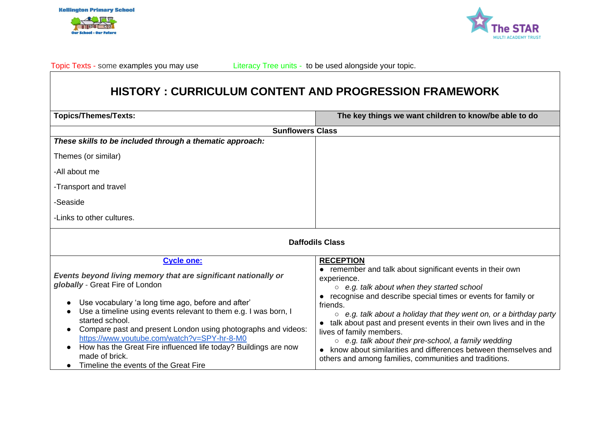



Topic Texts - some examples you may use **Literacy Tree units - to be used alongside your topic.** 

# **HISTORY : CURRICULUM CONTENT AND PROGRESSION FRAMEWORK**

| <b>Topics/Themes/Texts:</b>                                                                                                                                                                                                                                                                                                                                                                                                                                                                              | The key things we want children to know/be able to do                                                                                                                                                                                                                                                                                                                                                                                                                                                                                                                            |  |  |
|----------------------------------------------------------------------------------------------------------------------------------------------------------------------------------------------------------------------------------------------------------------------------------------------------------------------------------------------------------------------------------------------------------------------------------------------------------------------------------------------------------|----------------------------------------------------------------------------------------------------------------------------------------------------------------------------------------------------------------------------------------------------------------------------------------------------------------------------------------------------------------------------------------------------------------------------------------------------------------------------------------------------------------------------------------------------------------------------------|--|--|
| <b>Sunflowers Class</b>                                                                                                                                                                                                                                                                                                                                                                                                                                                                                  |                                                                                                                                                                                                                                                                                                                                                                                                                                                                                                                                                                                  |  |  |
| These skills to be included through a thematic approach:                                                                                                                                                                                                                                                                                                                                                                                                                                                 |                                                                                                                                                                                                                                                                                                                                                                                                                                                                                                                                                                                  |  |  |
| Themes (or similar)                                                                                                                                                                                                                                                                                                                                                                                                                                                                                      |                                                                                                                                                                                                                                                                                                                                                                                                                                                                                                                                                                                  |  |  |
| -All about me                                                                                                                                                                                                                                                                                                                                                                                                                                                                                            |                                                                                                                                                                                                                                                                                                                                                                                                                                                                                                                                                                                  |  |  |
| -Transport and travel                                                                                                                                                                                                                                                                                                                                                                                                                                                                                    |                                                                                                                                                                                                                                                                                                                                                                                                                                                                                                                                                                                  |  |  |
| -Seaside                                                                                                                                                                                                                                                                                                                                                                                                                                                                                                 |                                                                                                                                                                                                                                                                                                                                                                                                                                                                                                                                                                                  |  |  |
| -Links to other cultures.                                                                                                                                                                                                                                                                                                                                                                                                                                                                                |                                                                                                                                                                                                                                                                                                                                                                                                                                                                                                                                                                                  |  |  |
| <b>Daffodils Class</b>                                                                                                                                                                                                                                                                                                                                                                                                                                                                                   |                                                                                                                                                                                                                                                                                                                                                                                                                                                                                                                                                                                  |  |  |
| <b>Cycle one:</b>                                                                                                                                                                                                                                                                                                                                                                                                                                                                                        | <b>RECEPTION</b>                                                                                                                                                                                                                                                                                                                                                                                                                                                                                                                                                                 |  |  |
| Events beyond living memory that are significant nationally or<br>globally - Great Fire of London<br>Use vocabulary 'a long time ago, before and after'<br>Use a timeline using events relevant to them e.g. I was born, I<br>started school.<br>Compare past and present London using photographs and videos:<br>https://www.youtube.com/watch?v=SPY-hr-8-M0<br>How has the Great Fire influenced life today? Buildings are now<br>$\bullet$<br>made of brick.<br>Timeline the events of the Great Fire | • remember and talk about significant events in their own<br>experience.<br>$\circ$ e.g. talk about when they started school<br>• recognise and describe special times or events for family or<br>friends.<br>$\circ$ e.g. talk about a holiday that they went on, or a birthday party<br>talk about past and present events in their own lives and in the<br>lives of family members.<br>$\circ$ e.g. talk about their pre-school, a family wedding<br>know about similarities and differences between themselves and<br>others and among families, communities and traditions. |  |  |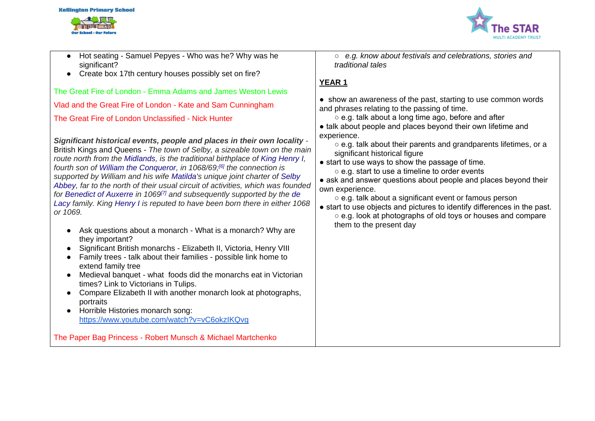# **Kellington Primary School**



- Hot seating Samuel Pepyes Who was he? Why was he significant?
- Create box 17th century houses possibly set on fire?

The Great Fire of London - Emma Adams and James Weston Lewis

Vlad and the Great Fire of London - Kate and Sam Cunningham

The Great Fire of London Unclassified - Nick Hunter

*Significant historical events, people and places in their own locality* - British Kings and Queens - *The town of Selby, a sizeable town on the main route north from the [Midlands,](https://en.wikipedia.org/wiki/English_Midlands) is the traditional birthplace of [King Henry I,](https://en.wikipedia.org/wiki/Henry_I_of_England) fourth son of [William the Conqueror,](https://en.wikipedia.org/wiki/William_the_Conqueror) in 1068/69;[\[6\]](https://en.wikipedia.org/wiki/Selby#cite_note-6) the connection is supported by William and his wife [Matilda'](https://en.wikipedia.org/wiki/Matilda_of_Flanders)s unique joint charter of [Selby](https://en.wikipedia.org/wiki/Selby_Abbey)  [Abbey,](https://en.wikipedia.org/wiki/Selby_Abbey) far to the north of their usual circuit of activities, which was founded for [Benedict of Auxerre](https://en.wikipedia.org/wiki/Selby_Abbey) in 1069[\[7\]](https://en.wikipedia.org/wiki/Selby#cite_note-7) and subsequently supported by the [de](https://en.wikipedia.org/wiki/De_Lacy)  [Lacy](https://en.wikipedia.org/wiki/De_Lacy) family. King [Henry I](https://en.wikipedia.org/wiki/Henry_I_of_England) is reputed to have been born there in either 1068 or 1069.*

- Ask questions about a monarch What is a monarch? Why are they important?
- Significant British monarchs Elizabeth II, Victoria, Henry VIII
- Family trees talk about their families possible link home to extend family tree
- Medieval banquet what foods did the monarchs eat in Victorian times? Link to Victorians in Tulips.
- Compare Elizabeth II with another monarch look at photographs, portraits
- Horrible Histories monarch song: <https://www.youtube.com/watch?v=vC6okzIKQvg>

The Paper Bag Princess - Robert Munsch & Michael Martchenko

○ *e.g. know about festivals and celebrations, stories and traditional tales*

## **YEAR 1**

● show an awareness of the past, starting to use common words and phrases relating to the passing of time.

○ e.g. talk about a long time ago, before and after

- talk about people and places beyond their own lifetime and experience.
	- e.g. talk about their parents and grandparents lifetimes, or a significant historical figure
- start to use ways to show the passage of time.
	- e.g. start to use a timeline to order events

• ask and answer questions about people and places beyond their own experience.

○ e.g. talk about a significant event or famous person

● start to use objects and pictures to identify differences in the past. ○ e.g. look at photographs of old toys or houses and compare them to the present day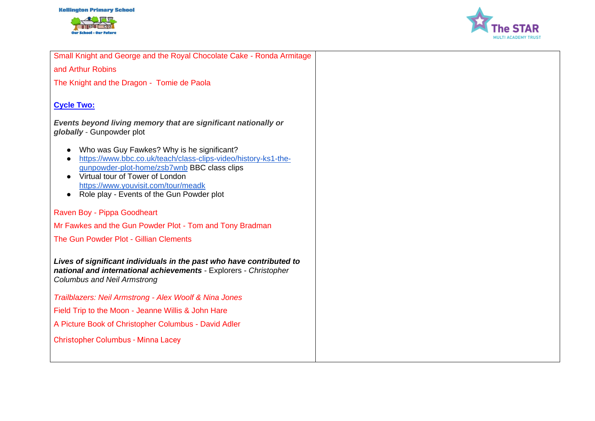



Small Knight and George and the Royal Chocolate Cake - Ronda Armitage

and Arthur Robins

The Knight and the Dragon - Tomie de Paola

### **Cycle Two:**

*Events beyond living memory that are significant nationally or globally* - Gunpowder plot

- Who was Guy Fawkes? Why is he significant?
- [https://www.bbc.co.uk/teach/class-clips-video/history-ks1-the](https://www.bbc.co.uk/teach/class-clips-video/history-ks1-the-gunpowder-plot-home/zsb7wnb)[gunpowder-plot-home/zsb7wnb](https://www.bbc.co.uk/teach/class-clips-video/history-ks1-the-gunpowder-plot-home/zsb7wnb) BBC class clips
- Virtual tour of Tower of London <https://www.youvisit.com/tour/meadk>
- Role play Events of the Gun Powder plot

#### Raven Boy - Pippa Goodheart

Mr Fawkes and the Gun Powder Plot - Tom and Tony Bradman

The Gun Powder Plot - Gillian Clements

*Lives of significant individuals in the past who have contributed to national and international achievements* - Explorers - *Christopher Columbus and Neil Armstrong*

*Trailblazers: Neil Armstrong - Alex Woolf & Nina Jones*

Field Trip to the Moon - Jeanne Willis & John Hare

A Picture Book of Christopher Columbus - David Adler

Christopher Columbus - Minna Lacey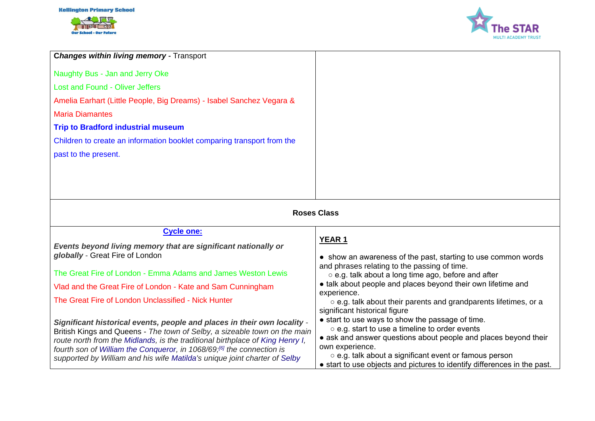Our School - Our Future



| <b>Changes within living memory - Transport</b><br>Naughty Bus - Jan and Jerry Oke<br><b>Lost and Found - Oliver Jeffers</b><br>Amelia Earhart (Little People, Big Dreams) - Isabel Sanchez Vegara &<br><b>Maria Diamantes</b><br><b>Trip to Bradford industrial museum</b><br>Children to create an information booklet comparing transport from the<br>past to the present.                                                                                                                                                                                                                                                                                                                                                                                               |  |  |
|-----------------------------------------------------------------------------------------------------------------------------------------------------------------------------------------------------------------------------------------------------------------------------------------------------------------------------------------------------------------------------------------------------------------------------------------------------------------------------------------------------------------------------------------------------------------------------------------------------------------------------------------------------------------------------------------------------------------------------------------------------------------------------|--|--|
|                                                                                                                                                                                                                                                                                                                                                                                                                                                                                                                                                                                                                                                                                                                                                                             |  |  |
|                                                                                                                                                                                                                                                                                                                                                                                                                                                                                                                                                                                                                                                                                                                                                                             |  |  |
|                                                                                                                                                                                                                                                                                                                                                                                                                                                                                                                                                                                                                                                                                                                                                                             |  |  |
|                                                                                                                                                                                                                                                                                                                                                                                                                                                                                                                                                                                                                                                                                                                                                                             |  |  |
|                                                                                                                                                                                                                                                                                                                                                                                                                                                                                                                                                                                                                                                                                                                                                                             |  |  |
|                                                                                                                                                                                                                                                                                                                                                                                                                                                                                                                                                                                                                                                                                                                                                                             |  |  |
|                                                                                                                                                                                                                                                                                                                                                                                                                                                                                                                                                                                                                                                                                                                                                                             |  |  |
|                                                                                                                                                                                                                                                                                                                                                                                                                                                                                                                                                                                                                                                                                                                                                                             |  |  |
|                                                                                                                                                                                                                                                                                                                                                                                                                                                                                                                                                                                                                                                                                                                                                                             |  |  |
|                                                                                                                                                                                                                                                                                                                                                                                                                                                                                                                                                                                                                                                                                                                                                                             |  |  |
|                                                                                                                                                                                                                                                                                                                                                                                                                                                                                                                                                                                                                                                                                                                                                                             |  |  |
| <b>Roses Class</b>                                                                                                                                                                                                                                                                                                                                                                                                                                                                                                                                                                                                                                                                                                                                                          |  |  |
| <b>Cycle one:</b>                                                                                                                                                                                                                                                                                                                                                                                                                                                                                                                                                                                                                                                                                                                                                           |  |  |
| YEAR <sub>1</sub><br>Events beyond living memory that are significant nationally or                                                                                                                                                                                                                                                                                                                                                                                                                                                                                                                                                                                                                                                                                         |  |  |
| globally - Great Fire of London<br>• show an awareness of the past, starting to use common words<br>and phrases relating to the passing of time.                                                                                                                                                                                                                                                                                                                                                                                                                                                                                                                                                                                                                            |  |  |
| The Great Fire of London - Emma Adams and James Weston Lewis<br>o e.g. talk about a long time ago, before and after                                                                                                                                                                                                                                                                                                                                                                                                                                                                                                                                                                                                                                                         |  |  |
| • talk about people and places beyond their own lifetime and<br>Vlad and the Great Fire of London - Kate and Sam Cunningham<br>experience.                                                                                                                                                                                                                                                                                                                                                                                                                                                                                                                                                                                                                                  |  |  |
| The Great Fire of London Unclassified - Nick Hunter<br>o e.g. talk about their parents and grandparents lifetimes, or a                                                                                                                                                                                                                                                                                                                                                                                                                                                                                                                                                                                                                                                     |  |  |
| significant historical figure<br>• start to use ways to show the passage of time.<br>Significant historical events, people and places in their own locality -<br>o e.g. start to use a timeline to order events<br>British Kings and Queens - The town of Selby, a sizeable town on the main<br>• ask and answer questions about people and places beyond their<br>route north from the Midlands, is the traditional birthplace of King Henry I,<br>own experience.<br>fourth son of William the Conqueror, in 1068/69; <sup>[6]</sup> the connection is<br>○ e.g. talk about a significant event or famous person<br>supported by William and his wife Matilda's unique joint charter of Selby<br>• start to use objects and pictures to identify differences in the past. |  |  |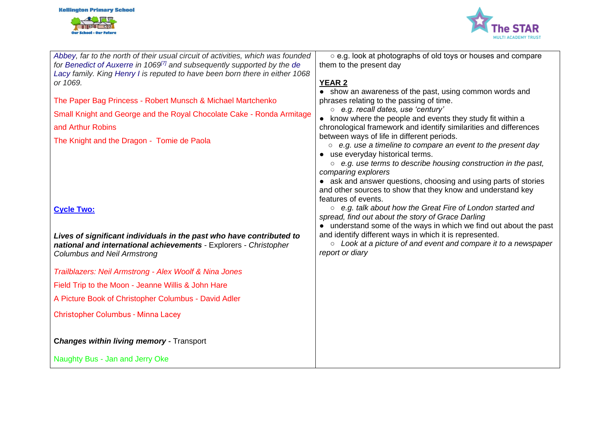



| Abbey, far to the north of their usual circuit of activities, which was founded     | ○ e.g. look at photographs of old toys or houses and compare                                             |
|-------------------------------------------------------------------------------------|----------------------------------------------------------------------------------------------------------|
| for Benedict of Auxerre in 1069 <sup>[7]</sup> and subsequently supported by the de | them to the present day                                                                                  |
| Lacy family. King Henry I is reputed to have been born there in either 1068         |                                                                                                          |
| or 1069.                                                                            | <b>YEAR 2</b>                                                                                            |
|                                                                                     | • show an awareness of the past, using common words and                                                  |
| The Paper Bag Princess - Robert Munsch & Michael Martchenko                         | phrases relating to the passing of time.                                                                 |
| Small Knight and George and the Royal Chocolate Cake - Ronda Armitage               | o e.g. recall dates, use 'century'                                                                       |
|                                                                                     | • know where the people and events they study fit within a                                               |
| and Arthur Robins                                                                   | chronological framework and identify similarities and differences                                        |
| The Knight and the Dragon - Tomie de Paola                                          | between ways of life in different periods.                                                               |
|                                                                                     | $\circ$ e.g. use a timeline to compare an event to the present day                                       |
|                                                                                     | • use everyday historical terms.<br>$\circ$ e.g. use terms to describe housing construction in the past, |
|                                                                                     | comparing explorers                                                                                      |
|                                                                                     | • ask and answer questions, choosing and using parts of stories                                          |
|                                                                                     | and other sources to show that they know and understand key                                              |
|                                                                                     | features of events.                                                                                      |
| <b>Cycle Two:</b>                                                                   | ○ e.g. talk about how the Great Fire of London started and                                               |
|                                                                                     | spread, find out about the story of Grace Darling                                                        |
|                                                                                     | • understand some of the ways in which we find out about the past                                        |
| Lives of significant individuals in the past who have contributed to                | and identify different ways in which it is represented.                                                  |
| national and international achievements - Explorers - Christopher                   | $\circ$ Look at a picture of and event and compare it to a newspaper                                     |
| <b>Columbus and Neil Armstrong</b>                                                  | report or diary                                                                                          |
|                                                                                     |                                                                                                          |
| Trailblazers: Neil Armstrong - Alex Woolf & Nina Jones                              |                                                                                                          |
| Field Trip to the Moon - Jeanne Willis & John Hare                                  |                                                                                                          |
| A Picture Book of Christopher Columbus - David Adler                                |                                                                                                          |
| <b>Christopher Columbus - Minna Lacey</b>                                           |                                                                                                          |
|                                                                                     |                                                                                                          |
|                                                                                     |                                                                                                          |
| <b>Changes within living memory - Transport</b>                                     |                                                                                                          |
| Naughty Bus - Jan and Jerry Oke                                                     |                                                                                                          |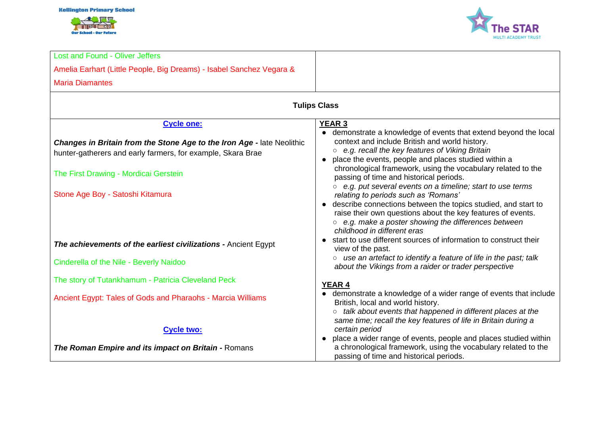#### **Kellington Primary School**





| <b>Lost and Found - Oliver Jeffers</b>                                                                                                |                                                                                                                                                                                                                                                                                                                              |  |  |  |
|---------------------------------------------------------------------------------------------------------------------------------------|------------------------------------------------------------------------------------------------------------------------------------------------------------------------------------------------------------------------------------------------------------------------------------------------------------------------------|--|--|--|
| Amelia Earhart (Little People, Big Dreams) - Isabel Sanchez Vegara &                                                                  |                                                                                                                                                                                                                                                                                                                              |  |  |  |
| <b>Maria Diamantes</b>                                                                                                                |                                                                                                                                                                                                                                                                                                                              |  |  |  |
| <b>Tulips Class</b>                                                                                                                   |                                                                                                                                                                                                                                                                                                                              |  |  |  |
| <b>Cycle one:</b>                                                                                                                     | <b>YEAR 3</b>                                                                                                                                                                                                                                                                                                                |  |  |  |
| Changes in Britain from the Stone Age to the Iron Age - late Neolithic<br>hunter-gatherers and early farmers, for example, Skara Brae | • demonstrate a knowledge of events that extend beyond the local<br>context and include British and world history.<br>○ e.g. recall the key features of Viking Britain<br>place the events, people and places studied within a<br>chronological framework, using the vocabulary related to the                               |  |  |  |
| The First Drawing - Mordicai Gerstein                                                                                                 | passing of time and historical periods.                                                                                                                                                                                                                                                                                      |  |  |  |
| Stone Age Boy - Satoshi Kitamura                                                                                                      | ○ e.g. put several events on a timeline; start to use terms<br>relating to periods such as 'Romans'<br>• describe connections between the topics studied, and start to<br>raise their own questions about the key features of events.<br>○ e.g. make a poster showing the differences between<br>childhood in different eras |  |  |  |
| The achievements of the earliest civilizations - Ancient Egypt                                                                        | • start to use different sources of information to construct their<br>view of the past.                                                                                                                                                                                                                                      |  |  |  |
| Cinderella of the Nile - Beverly Naidoo                                                                                               | o use an artefact to identify a feature of life in the past; talk<br>about the Vikings from a raider or trader perspective                                                                                                                                                                                                   |  |  |  |
| The story of Tutankhamum - Patricia Cleveland Peck                                                                                    | <b>YEAR 4</b>                                                                                                                                                                                                                                                                                                                |  |  |  |
| Ancient Egypt: Tales of Gods and Pharaohs - Marcia Williams                                                                           | • demonstrate a knowledge of a wider range of events that include<br>British, local and world history.<br>talk about events that happened in different places at the<br>same time; recall the key features of life in Britain during a                                                                                       |  |  |  |
| <b>Cycle two:</b>                                                                                                                     | certain period                                                                                                                                                                                                                                                                                                               |  |  |  |
| The Roman Empire and its impact on Britain - Romans                                                                                   | place a wider range of events, people and places studied within<br>$\bullet$<br>a chronological framework, using the vocabulary related to the<br>passing of time and historical periods.                                                                                                                                    |  |  |  |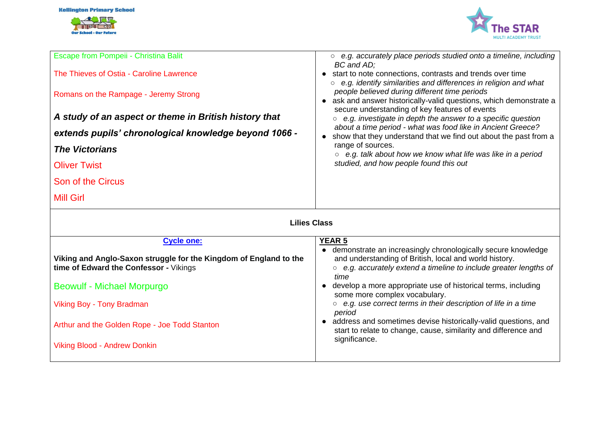



| Escape from Pompeii - Christina Balit                                                                       | $\circ$ e.g. accurately place periods studied onto a timeline, including<br>BC and AD;                                                                                                              |  |  |
|-------------------------------------------------------------------------------------------------------------|-----------------------------------------------------------------------------------------------------------------------------------------------------------------------------------------------------|--|--|
| The Thieves of Ostia - Caroline Lawrence                                                                    | start to note connections, contrasts and trends over time                                                                                                                                           |  |  |
| Romans on the Rampage - Jeremy Strong                                                                       | $\circ$ e.g. identify similarities and differences in religion and what<br>people believed during different time periods<br>ask and answer historically-valid questions, which demonstrate a        |  |  |
| A study of an aspect or theme in British history that                                                       | secure understanding of key features of events<br>e.g. investigate in depth the answer to a specific question<br>$\circ$                                                                            |  |  |
| extends pupils' chronological knowledge beyond 1066 -                                                       | about a time period - what was food like in Ancient Greece?<br>show that they understand that we find out about the past from a                                                                     |  |  |
| <b>The Victorians</b>                                                                                       | range of sources.<br>e.g. talk about how we know what life was like in a period<br>$\circ$                                                                                                          |  |  |
| <b>Oliver Twist</b>                                                                                         | studied, and how people found this out                                                                                                                                                              |  |  |
| Son of the Circus                                                                                           |                                                                                                                                                                                                     |  |  |
| <b>Mill Girl</b>                                                                                            |                                                                                                                                                                                                     |  |  |
| <b>Lilies Class</b>                                                                                         |                                                                                                                                                                                                     |  |  |
| <b>Cycle one:</b>                                                                                           | <b>YEAR 5</b>                                                                                                                                                                                       |  |  |
| Viking and Anglo-Saxon struggle for the Kingdom of England to the<br>time of Edward the Confessor - Vikings | demonstrate an increasingly chronologically secure knowledge<br>and understanding of British, local and world history.<br>○ e.g. accurately extend a timeline to include greater lengths of<br>time |  |  |
| Beowulf - Michael Morpurgo                                                                                  | develop a more appropriate use of historical terms, including<br>some more complex vocabulary.                                                                                                      |  |  |
| Viking Boy - Tony Bradman                                                                                   | ○ e.g. use correct terms in their description of life in a time<br>period                                                                                                                           |  |  |
| Arthur and the Golden Rope - Joe Todd Stanton                                                               | address and sometimes devise historically-valid questions, and<br>start to relate to change, cause, similarity and difference and                                                                   |  |  |

significance.

Viking Blood - Andrew Donkin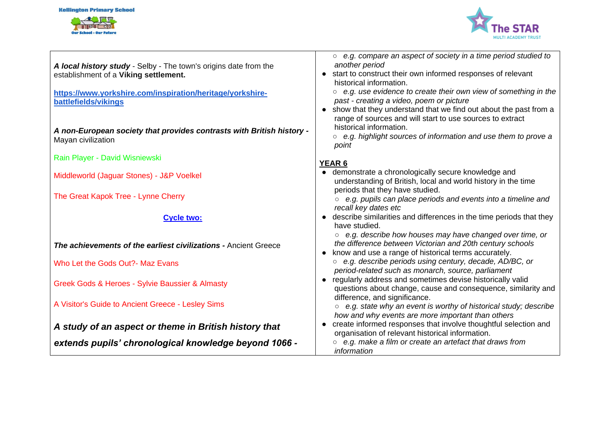#### **Kellington Primary School**





| A local history study - Selby - The town's origins date from the<br>establishment of a Viking settlement. | $\circ$ e.g. compare an aspect of society in a time period studied to<br>another period<br>start to construct their own informed responses of relevant<br>historical information.                                                               |
|-----------------------------------------------------------------------------------------------------------|-------------------------------------------------------------------------------------------------------------------------------------------------------------------------------------------------------------------------------------------------|
| https://www.yorkshire.com/inspiration/heritage/yorkshire-                                                 | e.g. use evidence to create their own view of something in the<br>$\circ$                                                                                                                                                                       |
| battlefields/vikings                                                                                      | past - creating a video, poem or picture                                                                                                                                                                                                        |
| A non-European society that provides contrasts with British history -<br>Mayan civilization               | • show that they understand that we find out about the past from a<br>range of sources and will start to use sources to extract<br>historical information.<br>e.g. highlight sources of information and use them to prove a<br>$\circ$<br>point |
| Rain Player - David Wisniewski                                                                            |                                                                                                                                                                                                                                                 |
| Middleworld (Jaguar Stones) - J&P Voelkel                                                                 | YEAR 6<br>demonstrate a chronologically secure knowledge and<br>understanding of British, local and world history in the time                                                                                                                   |
| The Great Kapok Tree - Lynne Cherry                                                                       | periods that they have studied.<br>e.g. pupils can place periods and events into a timeline and<br>recall key dates etc                                                                                                                         |
| <b>Cycle two:</b>                                                                                         | describe similarities and differences in the time periods that they<br>have studied.                                                                                                                                                            |
| The achievements of the earliest civilizations - Ancient Greece                                           | e.g. describe how houses may have changed over time, or<br>$\circ$<br>the difference between Victorian and 20th century schools<br>know and use a range of historical terms accurately.                                                         |
| Who Let the Gods Out?- Maz Evans                                                                          | ○ e.g. describe periods using century, decade, AD/BC, or                                                                                                                                                                                        |
|                                                                                                           | period-related such as monarch, source, parliament                                                                                                                                                                                              |
| Greek Gods & Heroes - Sylvie Baussier & Almasty                                                           | • regularly address and sometimes devise historically valid<br>questions about change, cause and consequence, similarity and                                                                                                                    |
| A Visitor's Guide to Ancient Greece - Lesley Sims                                                         | difference, and significance.<br>e.g. state why an event is worthy of historical study; describe<br>$\circlearrowright$<br>how and why events are more important than others                                                                    |
|                                                                                                           | create informed responses that involve thoughtful selection and<br>$\bullet$                                                                                                                                                                    |
| A study of an aspect or theme in British history that                                                     | organisation of relevant historical information.                                                                                                                                                                                                |
| extends pupils' chronological knowledge beyond 1066 -                                                     | e.g. make a film or create an artefact that draws from<br>information                                                                                                                                                                           |